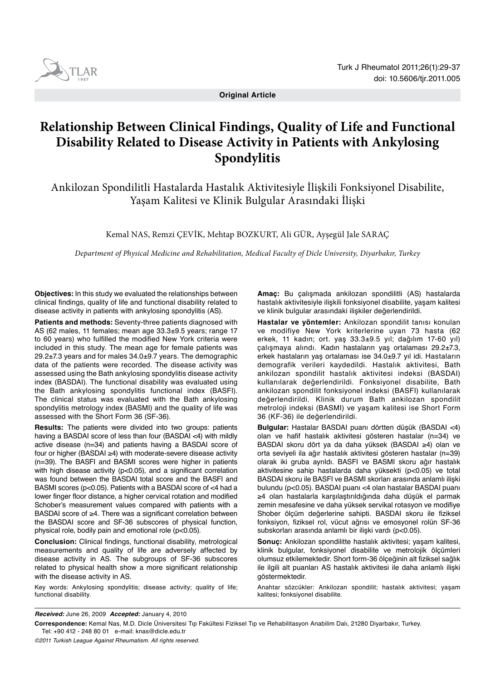

**Original Article**

# **Relationship Between Clinical Findings, Quality of Life and Functional Disability Related to Disease Activity in Patients with Ankylosing Spondylitis**

# Ankilozan Spondilitli Hastalarda Hastalık Aktivitesiyle İlişkili Fonksiyonel Disabilite, Yaşam Kalitesi ve Klinik Bulgular Arasındaki İlişki

# Kemal NAS, Remzi ÇEVİK, Mehtap BOZKURT, Ali GÜR, Ayşegül Jale SARAÇ

*Department of Physical Medicine and Rehabilitation, Medical Faculty of Dicle University, Diyarbakır, Turkey*

**Objectives:** In this study we evaluated the relationships between clinical findings, quality of life and functional disability related to disease activity in patients with ankylosing spondylitis (AS).

**Patients and methods:** Seventy-three patients diagnosed with AS (62 males, 11 females; mean age 33.3±9.5 years; range 17 to 60 years) who fulfilled the modified New York criteria were included in this study. The mean age for female patients was 29.2±7.3 years and for males 34.0±9.7 years. The demographic data of the patients were recorded. The disease activity was assessed using the Bath ankylosing spondylitis disease activity index (BASDAI). The functional disability was evaluated using the Bath ankylosing spondylitis functional index (BASFI). The clinical status was evaluated with the Bath ankylosing spondylitis metrology index (BASMI) and the quality of life was assessed with the Short Form 36 (SF-36).

**Results:** The patients were divided into two groups: patients having a BASDAI score of less than four (BASDAI <4) with mildly active disease (n=34) and patients having a BASDAI score of four or higher (BASDAI ≥4) with moderate-severe disease activity (n=39). The BASFI and BASMI scores were higher in patients with high disease activity (p<0.05), and a significant correlation was found between the BASDAI total score and the BASFI and BASMI scores (p<0.05). Patients with a BASDAI score of <4 had a lower finger floor distance, a higher cervical rotation and modified Schober's measurement values compared with patients with a BASDAI score of ≥4. There was a significant correlation between the BASDAI score and SF-36 subscores of physical function, physical role, bodily pain and emotional role (p<0.05).

**Conclusion:** Clinical findings, functional disability, metrological measurements and quality of life are adversely affected by disease activity in AS. The subgroups of SF-36 subscores related to physical health show a more significant relationship with the disease activity in AS.

Key words: Ankylosing spondylitis; disease activity; quality of life; functional disability.

**Amaç:** Bu çalışmada ankilozan spondilitli (AS) hastalarda hastalık aktivitesiyle ilişkili fonksiyonel disabilite, yaşam kalitesi ve klinik bulgular arasındaki ilişkiler değerlendirildi.

**Hastalar ve yöntemler:** Ankilozan spondilit tanısı konulan ve modifiye New York kriterlerine uyan 73 hasta (62 erkek, 11 kadın; ort. yaş 33.3±9.5 yıl; dağılım 17-60 yıl) çalışmaya alındı. Kadın hastaların yaş ortalaması 29.2±7.3, erkek hastaların yaş ortalaması ise 34.0±9.7 yıl idi. Hastaların demografik verileri kaydedildi. Hastalık aktivitesi, Bath ankilozan spondilit hastalık aktivitesi indeksi (BASDAI) kullanılarak değerlendirildi. Fonksiyonel disabilite, Bath ankilozan spondilit fonksiyonel indeksi (BASFI) kullanılarak değerlendirildi. Klinik durum Bath ankilozan spondilit metroloji indeksi (BASMI) ve yaşam kalitesi ise Short Form 36 (KF-36) ile değerlendirildi.

**Bulgular:** Hastalar BASDAI puanı dörtten düşük (BASDAI <4) olan ve hafif hastalık aktivitesi gösteren hastalar (n=34) ve BASDAI skoru dört ya da daha yüksek (BASDAI ≥4) olan ve orta seviyeli ila ağır hastalık aktivitesi gösteren hastalar (n=39) olarak iki gruba ayrıldı. BASFI ve BASMI skoru ağır hastalık aktivitesine sahip hastalarda daha yüksekti (p<0.05) ve total BASDAI skoru ile BASFI ve BASMI skorları arasında anlamlı ilişki bulundu (p<0.05). BASDAI puanı <4 olan hastalar BASDAI puanı ≥4 olan hastalarla karşılaştırıldığında daha düşük el parmak zemin mesafesine ve daha yüksek servikal rotasyon ve modifiye Shober ölçüm değerlerine sahipti. BASDAI skoru ile fiziksel fonksiyon, fiziksel rol, vücut ağrısı ve emosyonel rolün SF-36 subskorları arasında anlamlı bir ilişki vardı (p<0.05).

**Sonuç:** Ankilozan spondilitte hastalık aktivitesi; yaşam kalitesi, klinik bulgular, fonksiyonel disabilite ve metrolojik ölçümleri olumsuz etkilemektedir. Short form-36 ölçeğinin alt fiziksel sağlık ile ilgili alt puanları AS hastalık aktivitesi ile daha anlamlı ilişki göstermektedir.

Anahtar sözcükler: Ankilozan spondilit; hastalık aktivitesi; yaşam kalitesi; fonksiyonel disabilite.

*Received:* June 26, 2009 *Accepted:* January 4, 2010

**Correspondence:** Kemal Nas, M.D. Dicle Üniversitesi Tıp Fakültesi Fiziksel Tıp ve Rehabilitasyon Anabilim Dalı, 21280 Diyarbakır, Turkey. Tel: +90 412 - 248 80 01 e-mail: knas@dicle.edu.tr

*©2011 Turkish League Against Rheumatism. All rights reserved.*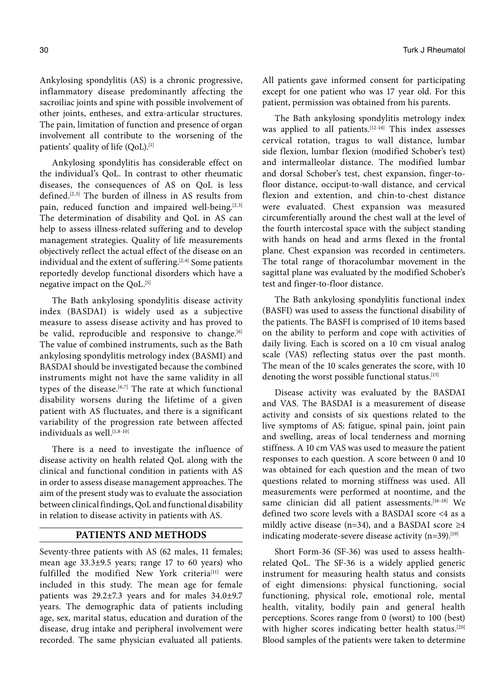Ankylosing spondylitis (AS) is a chronic progressive, inflammatory disease predominantly affecting the sacroiliac joints and spine with possible involvement of other joints, entheses, and extra-articular structures. The pain, limitation of function and presence of organ involvement all contribute to the worsening of the patients' quality of life  $(QoL)$ .[1]

Ankylosing spondylitis has considerable effect on the individual's QoL. In contrast to other rheumatic diseases, the consequences of AS on QoL is less defined.[2,3] The burden of illness in AS results from pain, reduced function and impaired well-being.<sup>[2,3]</sup> The determination of disability and QoL in AS can help to assess illness-related suffering and to develop management strategies. Quality of life measurements objectively reflect the actual effect of the disease on an individual and the extent of suffering.<sup>[2,4]</sup> Some patients reportedly develop functional disorders which have a negative impact on the QoL.<sup>[5]</sup>

The Bath ankylosing spondylitis disease activity index (BASDAI) is widely used as a subjective measure to assess disease activity and has proved to be valid, reproducible and responsive to change.<sup>[6]</sup> The value of combined instruments, such as the Bath ankylosing spondylitis metrology index (BASMI) and BASDAI should be investigated because the combined instruments might not have the same validity in all types of the disease.<sup>[6,7]</sup> The rate at which functional disability worsens during the lifetime of a given patient with AS fluctuates, and there is a significant variability of the progression rate between affected individuals as well.<sup>[1,8-10]</sup>

There is a need to investigate the influence of disease activity on health related QoL along with the clinical and functional condition in patients with AS in order to assess disease management approaches. The aim of the present study was to evaluate the association between clinical findings, QoL and functional disability in relation to disease activity in patients with AS.

# **PATIENTS AND METHODS**

Seventy-three patients with AS (62 males, 11 females; mean age 33.3±9.5 years; range 17 to 60 years) who fulfilled the modified New York criteria<sup>[11]</sup> were included in this study. The mean age for female patients was 29.2±7.3 years and for males 34.0±9.7 years. The demographic data of patients including age, sex, marital status, education and duration of the disease, drug intake and peripheral involvement were recorded. The same physician evaluated all patients.

All patients gave informed consent for participating except for one patient who was 17 year old. For this patient, permission was obtained from his parents.

The Bath ankylosing spondylitis metrology index was applied to all patients.<sup>[12-14]</sup> This index assesses cervical rotation, tragus to wall distance, lumbar side flexion, lumbar flexion (modified Schober's test) and intermalleolar distance. The modified lumbar and dorsal Schober's test, chest expansion, finger-tofloor distance, occiput-to-wall distance, and cervical flexion and extention, and chin-to-chest distance were evaluated. Chest expansion was measured circumferentially around the chest wall at the level of the fourth intercostal space with the subject standing with hands on head and arms flexed in the frontal plane. Chest expansion was recorded in centimeters. The total range of thoracolumbar movement in the sagittal plane was evaluated by the modified Schober's test and finger-to-floor distance.

The Bath ankylosing spondylitis functional index (BASFI) was used to assess the functional disability of the patients. The BASFI is comprised of 10 items based on the ability to perform and cope with activities of daily living. Each is scored on a 10 cm visual analog scale (VAS) reflecting status over the past month. The mean of the 10 scales generates the score, with 10 denoting the worst possible functional status.<sup>[15]</sup>

Disease activity was evaluated by the BASDAI and VAS. The BASDAI is a measurement of disease activity and consists of six questions related to the live symptoms of AS: fatigue, spinal pain, joint pain and swelling, areas of local tenderness and morning stiffness. A 10 cm VAS was used to measure the patient responses to each question. A score between 0 and 10 was obtained for each question and the mean of two questions related to morning stiffness was used. All measurements were performed at noontime, and the same clinician did all patient assessments.<sup>[16-18]</sup> We defined two score levels with a BASDAI score <4 as a mildly active disease (n=34), and a BASDAI score  $\geq 4$ indicating moderate-severe disease activity  $(n=39)$ .<sup>[19]</sup>

Short Form-36 (SF-36) was used to assess healthrelated QoL. The SF-36 is a widely applied generic instrument for measuring health status and consists of eight dimensions: physical functioning, social functioning, physical role, emotional role, mental health, vitality, bodily pain and general health perceptions. Scores range from 0 (worst) to 100 (best) with higher scores indicating better health status.<sup>[20]</sup> Blood samples of the patients were taken to determine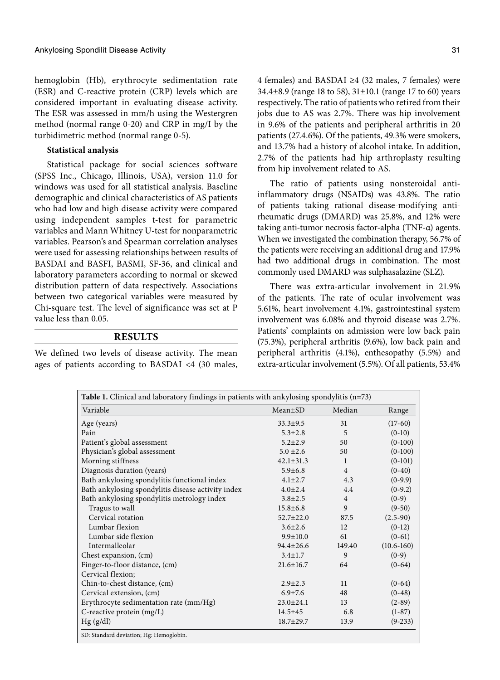hemoglobin (Hb), erythrocyte sedimentation rate (ESR) and C-reactive protein (CRP) levels which are considered important in evaluating disease activity. The ESR was assessed in mm/h using the Westergren method (normal range 0-20) and CRP in mg/I by the turbidimetric method (normal range 0-5).

#### **Statistical analysis**

Statistical package for social sciences software (SPSS Inc., Chicago, Illinois, USA), version 11.0 for windows was used for all statistical analysis. Baseline demographic and clinical characteristics of AS patients who had low and high disease activity were compared using independent samples t-test for parametric variables and Mann Whitney U-test for nonparametric variables. Pearson's and Spearman correlation analyses were used for assessing relationships between results of BASDAI and BASFI, BASMI, SF-36, and clinical and laboratory parameters according to normal or skewed distribution pattern of data respectively. Associations between two categorical variables were measured by Chi-square test. The level of significance was set at P value less than 0.05.

# **RESULTS**

We defined two levels of disease activity. The mean ages of patients according to BASDAI <4 (30 males, 4 females) and BASDAI  $\geq$ 4 (32 males, 7 females) were 34.4±8.9 (range 18 to 58), 31±10.1 (range 17 to 60) years respectively. The ratio of patients who retired from their jobs due to AS was 2.7%. There was hip involvement in 9.6% of the patients and peripheral arthritis in 20 patients (27.4.6%). Of the patients, 49.3% were smokers, and 13.7% had a history of alcohol intake. In addition, 2.7% of the patients had hip arthroplasty resulting from hip involvement related to AS.

The ratio of patients using nonsteroidal antiinflammatory drugs (NSAIDs) was 43.8%. The ratio of patients taking rational disease-modifying antirheumatic drugs (DMARD) was 25.8%, and 12% were taking anti-tumor necrosis factor-alpha (TNF-α) agents. When we investigated the combination therapy, 56.7% of the patients were receiving an additional drug and 17.9% had two additional drugs in combination. The most commonly used DMARD was sulphasalazine (SLZ).

There was extra-articular involvement in 21.9% of the patients. The rate of ocular involvement was 5.61%, heart involvement 4.1%, gastrointestinal system involvement was 6.08% and thyroid disease was 2.7%. Patients' complaints on admission were low back pain (75.3%), peripheral arthritis (9.6%), low back pain and peripheral arthritis (4.1%), enthesopathy (5.5%) and extra-articular involvement (5.5%). Of all patients, 53.4%

| Variable                                           | $Mean \pm SD$   | Median         | Range          |
|----------------------------------------------------|-----------------|----------------|----------------|
| Age (years)                                        | $33.3 \pm 9.5$  | 31             | $(17-60)$      |
| Pain                                               | $5.3 \pm 2.8$   | 5              | $(0-10)$       |
| Patient's global assessment                        | $5.2 \pm 2.9$   | 50             | $(0-100)$      |
| Physician's global assessment                      | $5.0 \pm 2.6$   | 50             | $(0-100)$      |
| Morning stiffness                                  | $42.1 \pm 31.3$ | $\mathbf{1}$   | $(0-101)$      |
| Diagnosis duration (years)                         | $5.9 \pm 6.8$   | $\overline{4}$ | $(0-40)$       |
| Bath ankylosing spondylitis functional index       | $4.1 \pm 2.7$   | 4.3            | $(0-9.9)$      |
| Bath ankylosing spondylitis disease activity index | $4.0 \pm 2.4$   | 4.4            | $(0-9.2)$      |
| Bath ankylosing spondylitis metrology index        | $3.8 \pm 2.5$   | $\overline{4}$ | $(0-9)$        |
| Tragus to wall                                     | $15.8 \pm 6.8$  | 9              | $(9-50)$       |
| Cervical rotation                                  | $52.7 \pm 22.0$ | 87.5           | $(2.5-90)$     |
| Lumbar flexion                                     | $3.6 \pm 2.6$   | 12             | $(0-12)$       |
| Lumbar side flexion                                | $9.9 \pm 10.0$  | 61             | $(0-61)$       |
| Intermalleolar                                     | $94.4 \pm 26.6$ | 149.40         | $(10.6 - 160)$ |
| Chest expansion, (cm)                              | $3.4 \pm 1.7$   | 9              | $(0-9)$        |
| Finger-to-floor distance, (cm)                     | $21.6 \pm 16.7$ | 64             | $(0-64)$       |
| Cervical flexion;                                  |                 |                |                |
| Chin-to-chest distance, (cm)                       | $2.9 \pm 2.3$   | 11             | $(0-64)$       |
| Cervical extension, (cm)                           | $6.9 \pm 7.6$   | 48             | $(0-48)$       |
| Erythrocyte sedimentation rate (mm/Hg)             | $23.0 \pm 24.1$ | 13             | $(2-89)$       |
| C-reactive protein $(mg/L)$                        | $14.5 \pm 45$   | 6.8            | $(1-87)$       |
| Hg (g/dl)                                          | 18.7±29.7       | 13.9           | $(9-233)$      |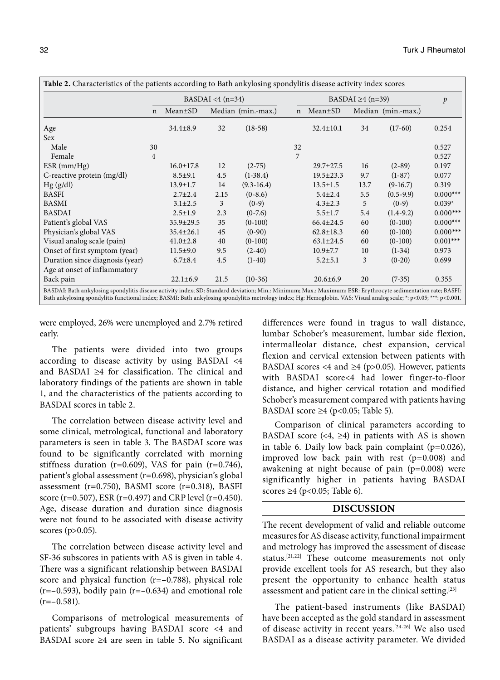| Table 2. Characteristics of the patients according to Bath ankylosing spondylitis disease activity index scores                                                                                                                                                                                                                       |                    |                 |      |                        |              |                 |               |                    |            |
|---------------------------------------------------------------------------------------------------------------------------------------------------------------------------------------------------------------------------------------------------------------------------------------------------------------------------------------|--------------------|-----------------|------|------------------------|--------------|-----------------|---------------|--------------------|------------|
|                                                                                                                                                                                                                                                                                                                                       | BASDAI <4 $(n=34)$ |                 |      | BASDAI $\geq 4$ (n=39) |              |                 | $\mathcal{P}$ |                    |            |
|                                                                                                                                                                                                                                                                                                                                       | $\mathbf n$        | $Mean \pm SD$   |      | Median (min.-max.)     | $\mathsf{n}$ | Mean±SD         |               | Median (min.-max.) |            |
| Age                                                                                                                                                                                                                                                                                                                                   |                    | $34.4 \pm 8.9$  | 32   | $(18-58)$              |              | $32.4 \pm 10.1$ | 34            | $(17-60)$          | 0.254      |
| Sex                                                                                                                                                                                                                                                                                                                                   |                    |                 |      |                        |              |                 |               |                    |            |
| Male                                                                                                                                                                                                                                                                                                                                  | 30                 |                 |      |                        | 32           |                 |               |                    | 0.527      |
| Female                                                                                                                                                                                                                                                                                                                                | $\overline{4}$     |                 |      |                        | 7            |                 |               |                    | 0.527      |
| $ESR$ (mm/Hg)                                                                                                                                                                                                                                                                                                                         |                    | $16.0 \pm 17.8$ | 12   | $(2-75)$               |              | $29.7 \pm 27.5$ | 16            | $(2-89)$           | 0.197      |
| C-reactive protein (mg/dl)                                                                                                                                                                                                                                                                                                            |                    | $8.5 + 9.1$     | 4.5  | $(1-38.4)$             |              | $19.5 \pm 23.3$ | 9.7           | $(1-87)$           | 0.077      |
| Hg(g/dl)                                                                                                                                                                                                                                                                                                                              |                    | $13.9 \pm 1.7$  | 14   | $(9.3 - 16.4)$         |              | $13.5 \pm 1.5$  | 13.7          | $(9-16.7)$         | 0.319      |
| <b>BASFI</b>                                                                                                                                                                                                                                                                                                                          |                    | $2.7 + 2.4$     | 2.15 | $(0-8.6)$              |              | $5.4 + 2.4$     | 5.5           | $(0.5-9.9)$        | $0.000***$ |
| <b>BASMI</b>                                                                                                                                                                                                                                                                                                                          |                    | $3.1 \pm 2.5$   | 3    | $(0-9)$                |              | $4.3 \pm 2.3$   | 5             | $(0-9)$            | $0.039*$   |
| <b>BASDAI</b>                                                                                                                                                                                                                                                                                                                         |                    | $2.5 \pm 1.9$   | 2.3  | $(0-7.6)$              |              | $5.5 \pm 1.7$   | 5.4           | $(1.4-9.2)$        | $0.000***$ |
| Patient's global VAS                                                                                                                                                                                                                                                                                                                  |                    | 35.9±29.5       | 35   | $(0-100)$              |              | $66.4 \pm 24.5$ | 60            | $(0-100)$          | $0.000***$ |
| Physician's global VAS                                                                                                                                                                                                                                                                                                                |                    | $35.4 \pm 26.1$ | 45   | $(0-90)$               |              | $62.8 \pm 18.3$ | 60            | $(0-100)$          | $0.000***$ |
| Visual analog scale (pain)                                                                                                                                                                                                                                                                                                            |                    | $41.0 \pm 2.8$  | 40   | $(0-100)$              |              | $63.1 \pm 24.5$ | 60            | $(0-100)$          | $0.001***$ |
| Onset of first symptom (year)                                                                                                                                                                                                                                                                                                         |                    | $11.5 \pm 9.0$  | 9.5  | $(2-40)$               |              | $10.9 \pm 7.7$  | 10            | $(1-34)$           | 0.973      |
| Duration since diagnosis (year)                                                                                                                                                                                                                                                                                                       |                    | $6.7\pm8.4$     | 4.5  | $(1-40)$               |              | $5.2 \pm 5.1$   | 3             | $(0-20)$           | 0.699      |
| Age at onset of inflammatory                                                                                                                                                                                                                                                                                                          |                    |                 |      |                        |              |                 |               |                    |            |
| Back pain                                                                                                                                                                                                                                                                                                                             |                    | $22.1 \pm 6.9$  | 21.5 | $(10-36)$              |              | $20.6 \pm 6.9$  | 20            | $(7-35)$           | 0.355      |
| BASDAI: Bath ankylosing spondylitis disease activity index; SD: Standard deviation; Min.: Minimum; Max.: Maximum; ESR: Erythrocyte sedimentation rate; BASFI:<br>Bath ankylosing spondylitis functional index; BASMI: Bath ankylosing spondylitis metrology index; Hg: Hemoglobin. VAS: Visual analog scale; *: p<0.05; ***: p<0.001. |                    |                 |      |                        |              |                 |               |                    |            |

were employed, 26% were unemployed and 2.7% retired early.

The patients were divided into two groups according to disease activity by using BASDAI <4 and BASDAI ≥4 for classification. The clinical and laboratory findings of the patients are shown in table 1, and the characteristics of the patients according to BASDAI scores in table 2.

The correlation between disease activity level and some clinical, metrological, functional and laboratory parameters is seen in table 3. The BASDAI score was found to be significantly correlated with morning stiffness duration ( $r=0.609$ ), VAS for pain ( $r=0.746$ ), patient's global assessment (r=0.698), physician's global assessment (r=0.750), BASMI score (r=0.318), BASFI score (r=0.507), ESR (r=0.497) and CRP level (r=0.450). Age, disease duration and duration since diagnosis were not found to be associated with disease activity scores (p>0.05).

The correlation between disease activity level and SF-36 subscores in patients with AS is given in table 4. There was a significant relationship between BASDAI score and physical function (r=–0.788), physical role  $(r=-0.593)$ , bodily pain  $(r=-0.634)$  and emotional role  $(r=-0.581)$ .

Comparisons of metrological measurements of patients' subgroups having BASDAI score <4 and BASDAI score ≥4 are seen in table 5. No significant differences were found in tragus to wall distance, lumbar Schober's measurement, lumbar side flexion, intermalleolar distance, chest expansion, cervical flexion and cervical extension between patients with BASDAI scores <4 and  $\geq 4$  (p>0.05). However, patients with BASDAI score<4 had lower finger-to-floor distance, and higher cervical rotation and modified Schober's measurement compared with patients having BASDAI score  $\geq$ 4 (p<0.05; Table 5).

Comparison of clinical parameters according to BASDAI score  $(4, 24)$  in patients with AS is shown in table 6. Daily low back pain complaint (p=0.026), improved low back pain with rest (p=0.008) and awakening at night because of pain (p=0.008) were significantly higher in patients having BASDAI scores  $\geq 4$  (p<0.05; Table 6).

#### **DISCUSSION**

The recent development of valid and reliable outcome measures for AS disease activity, functional impairment and metrology has improved the assessment of disease status.[21,22] These outcome measurements not only provide excellent tools for AS research, but they also present the opportunity to enhance health status assessment and patient care in the clinical setting.<sup>[23]</sup>

The patient-based instruments (like BASDAI) have been accepted as the gold standard in assessment of disease activity in recent years.[24-26] We also used BASDAI as a disease activity parameter. We divided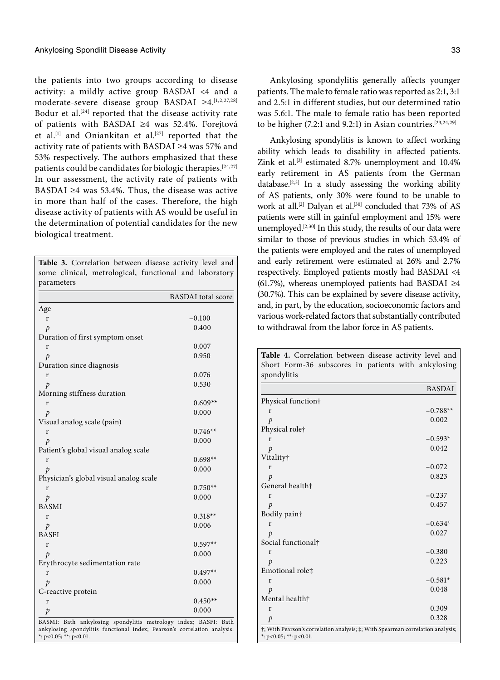the patients into two groups according to disease activity: a mildly active group BASDAI <4 and a moderate-severe disease group BASDAI ≥4.[1,2,27,28] Bodur et al.<sup>[24]</sup> reported that the disease activity rate of patients with BASDAI ≥4 was 52.4%. Forejtová et al.<sup>[1]</sup> and Oniankitan et al.<sup>[27]</sup> reported that the activity rate of patients with BASDAI ≥4 was 57% and 53% respectively. The authors emphasized that these patients could be candidates for biologic therapies.<sup>[24,27]</sup> In our assessment, the activity rate of patients with BASDAI  $\geq$ 4 was 53.4%. Thus, the disease was active in more than half of the cases. Therefore, the high disease activity of patients with AS would be useful in the determination of potential candidates for the new biological treatment.

**Table 3.** Correlation between disease activity level and some clinical, metrological, functional and laboratory parameters

|                                        | <b>BASDAI</b> total score |
|----------------------------------------|---------------------------|
| Age                                    |                           |
| r                                      | $-0.100$                  |
| $\mathcal{P}$                          | 0.400                     |
| Duration of first symptom onset        |                           |
| r                                      | 0.007                     |
| $\mathcal{P}$                          | 0.950                     |
| Duration since diagnosis               |                           |
| r                                      | 0.076                     |
| $\mathcal{P}$                          | 0.530                     |
| Morning stiffness duration             |                           |
| r                                      | $0.609**$                 |
| $\mathcal{P}$                          | 0.000                     |
| Visual analog scale (pain)             |                           |
| r                                      | $0.746**$                 |
| $\mathcal{P}$                          | 0.000                     |
| Patient's global visual analog scale   |                           |
| r                                      | $0.698**$                 |
| $\mathcal{P}$                          | 0.000                     |
| Physician's global visual analog scale |                           |
| r                                      | $0.750**$                 |
| $\mathcal{P}$                          | 0.000                     |
| <b>BASMI</b>                           |                           |
| r                                      | $0.318**$                 |
| $\mathcal{P}$                          | 0.006                     |
| <b>BASFI</b>                           |                           |
| r                                      | $0.597**$                 |
| $\mathcal{D}$                          | 0.000                     |
| Erythrocyte sedimentation rate         |                           |
| r                                      | $0.497**$                 |
| $\mathcal{P}$                          | 0.000                     |
| C-reactive protein                     |                           |
| r                                      | $0.450**$                 |
| $\mathcal{P}$                          | 0.000                     |

Ankylosing spondylitis generally affects younger patients. The male to female ratio was reported as 2:1, 3:1 and 2.5:1 in different studies, but our determined ratio was 5.6:1. The male to female ratio has been reported to be higher (7.2:1 and 9.2:1) in Asian countries.<sup>[23,24,29]</sup>

Ankylosing spondylitis is known to affect working ability which leads to disability in affected patients. Zink et al.<sup>[3]</sup> estimated 8.7% unemployment and 10.4% early retirement in AS patients from the German database. $[2,3]$  In a study assessing the working ability of AS patients, only 30% were found to be unable to work at all.<sup>[2]</sup> Dalyan et al.<sup>[30]</sup> concluded that 73% of AS patients were still in gainful employment and 15% were unemployed.[2,30] In this study, the results of our data were similar to those of previous studies in which 53.4% of the patients were employed and the rates of unemployed and early retirement were estimated at 26% and 2.7% respectively. Employed patients mostly had BASDAI <4 (61.7%), whereas unemployed patients had BASDAI  $\geq 4$ (30.7%). This can be explained by severe disease activity, and, in part, by the education, socioeconomic factors and various work-related factors that substantially contributed to withdrawal from the labor force in AS patients.

Physical function† r  $-0.788**$ <br>  $0.002$ *p* 0.002 Physical role† r  $-0.593*$ *p* 0.042 Vitality† r –0.072 *p* 0.823 General health†  $r = -0.237$ *p* 0.457 Bodily pain† r  $-0.634*$ *p* 0.027 Social functional†  $r = -0.380$ *p* 0.223 Emotional role‡ r  $-0.581*$ *p* 0.048 Mental health† r 0.309 *p* 0.328 †; With Pearson's correlation analysis; ‡; With Spearman correlation analysis; \*: p<0.05; \*\*: p<0.01. BASDAI

**Table 4.** Correlation between disease activity level and Short Form-36 subscores in patients with ankylosing spondylitis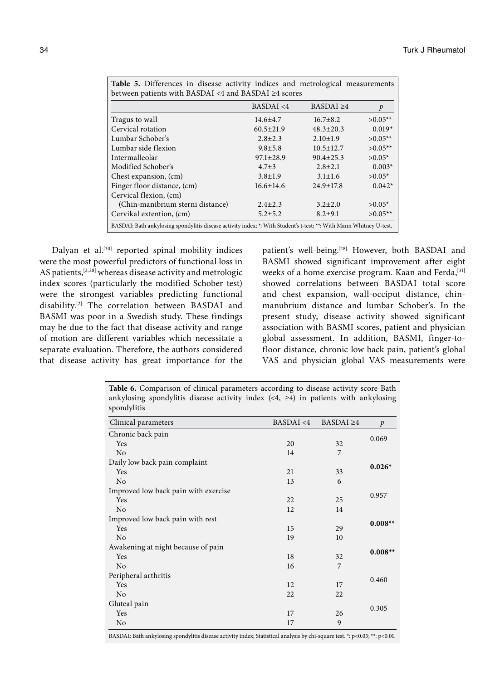|                                  | BASDAI < 4      | $BASDAI \geq 4$ | p         |
|----------------------------------|-----------------|-----------------|-----------|
| Tragus to wall                   | $14.6 \pm 4.7$  | $16.7\pm8.2$    | $>0.05**$ |
| Cervical rotation                | $60.5 \pm 21.9$ | $48.3 \pm 20.3$ | $0.019*$  |
| Lumbar Schober's                 | $2.8 \pm 2.3$   | $2.10 \pm 1.9$  | $>0.05**$ |
| Lumbar side flexion              | $9.8 + 5.8$     | $10.5 \pm 12.7$ | $>0.05**$ |
| Intermalleolar                   | $97.1 \pm 28.9$ | $90.4 \pm 25.3$ | $>0.05*$  |
| Modified Schober's               | $4.7 + 3$       | $2.8 \pm 2.1$   | $0.003*$  |
| Chest expansion, (cm)            | $3.8 \pm 1.9$   | $3.1 \pm 1.6$   | $>0.05*$  |
| Finger floor distance, (cm)      | $16.6 \pm 14.6$ | $24.9 \pm 17.8$ | $0.042*$  |
| Cervical flexion, (cm)           |                 |                 |           |
| (Chin-manibrium sterni distance) | $2.4 \pm 2.3$   | $3.2 \pm 2.0$   | $>0.05*$  |
| Cervikal extention, (cm)         | $5.2 \pm 5.2$   | $8.2 + 9.1$     | $>0.05**$ |

**Table 5.** Differences in disease activity indices and metrological measurements

Dalyan et al.<sup>[30]</sup> reported spinal mobility indices were the most powerful predictors of functional loss in AS patients,[2,28] whereas disease activity and metrologic index scores (particularly the modified Schober test) were the strongest variables predicting functional disability.[2] The correlation between BASDAI and BASMI was poor in a Swedish study. These findings may be due to the fact that disease activity and range of motion are different variables which necessitate a separate evaluation. Therefore, the authors considered that disease activity has great importance for the patient's well-being.<sup>[28]</sup> However, both BASDAI and BASMI showed significant improvement after eight weeks of a home exercise program. Kaan and Ferda, [31] showed correlations between BASDAI total score and chest expansion, wall-occiput distance, chinmanubrium distance and lumbar Schober's. In the present study, disease activity showed significant association with BASMI scores, patient and physician global assessment. In addition, BASMI, finger-tofloor distance, chronic low back pain, patient's global VAS and physician global VAS measurements were

| Clinical parameters                  | BASDAI<4 | $BASDAI \geq 4$ | $\mathcal{P}$ |  |
|--------------------------------------|----------|-----------------|---------------|--|
| Chronic back pain                    |          |                 |               |  |
| Yes                                  | 20       | 32              | 0.069         |  |
| No                                   | 14       | 7               |               |  |
| Daily low back pain complaint        |          |                 | $0.026*$      |  |
| Yes                                  | 21       | 33              |               |  |
| No                                   | 13       | 6               |               |  |
| Improved low back pain with exercise |          |                 |               |  |
| Yes                                  | 22       | 25              | 0.957         |  |
| No                                   | 12       | 14              |               |  |
| Improved low back pain with rest     |          |                 |               |  |
| Yes                                  | 15       | 29              | $0.008**$     |  |
| No                                   | 19       | 10              |               |  |
| Awakening at night because of pain   |          |                 |               |  |
| Yes                                  | 18       | 32              | $0.008**$     |  |
| No                                   | 16       | 7               |               |  |
| Peripheral arthritis                 |          |                 |               |  |
| Yes                                  | 12       | 17              | 0.460         |  |
| No                                   | 22       | 22              |               |  |
| Gluteal pain                         |          |                 |               |  |
| Yes                                  | 17       | 26              | 0.305         |  |
| No                                   | 17       | 9               |               |  |

| Table 6. Comparison of clinical parameters according to disease activity score Bath<br>ankylosing spondylitis disease activity index $(\langle 4, \geq 4 \rangle)$ in patients with ankylosing<br>spondylitis |                             |       |
|---------------------------------------------------------------------------------------------------------------------------------------------------------------------------------------------------------------|-----------------------------|-------|
| Clinical parameters                                                                                                                                                                                           | $BASDAI < 4$ $BASDAI \ge 4$ |       |
| Chronic back pain                                                                                                                                                                                             |                             | 0.069 |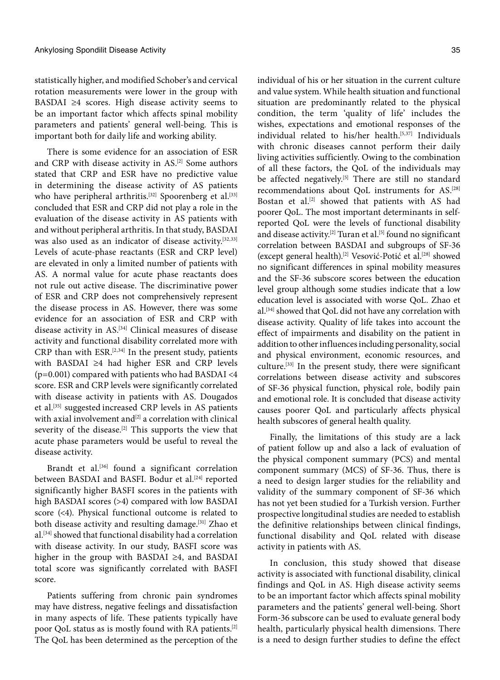statistically higher, and modified Schober's and cervical rotation measurements were lower in the group with BASDAI ≥4 scores. High disease activity seems to be an important factor which affects spinal mobility parameters and patients' general well-being. This is important both for daily life and working ability.

There is some evidence for an association of ESR and CRP with disease activity in AS.<sup>[2]</sup> Some authors stated that CRP and ESR have no predictive value in determining the disease activity of AS patients who have peripheral arthritis.<sup>[32]</sup> Spoorenberg et al.<sup>[33]</sup> concluded that ESR and CRP did not play a role in the evaluation of the disease activity in AS patients with and without peripheral arthritis. In that study, BASDAI was also used as an indicator of disease activity.<sup>[32,33]</sup> Levels of acute-phase reactants (ESR and CRP level) are elevated in only a limited number of patients with AS. A normal value for acute phase reactants does not rule out active disease. The discriminative power of ESR and CRP does not comprehensively represent the disease process in AS. However, there was some evidence for an association of ESR and CRP with disease activity in AS.[34] Clinical measures of disease activity and functional disability correlated more with CRP than with  $ESR$ .<sup>[2,34]</sup> In the present study, patients with BASDAI ≥4 had higher ESR and CRP levels ( $p=0.001$ ) compared with patients who had BASDAI <4 score. ESR and CRP levels were significantly correlated with disease activity in patients with AS. Dougados et al.[35] suggested increased CRP levels in AS patients with axial involvement and<sup>[2]</sup> a correlation with clinical severity of the disease.<sup>[2]</sup> This supports the view that acute phase parameters would be useful to reveal the disease activity.

Brandt et al.<sup>[36]</sup> found a significant correlation between BASDAI and BASFI. Bodur et al.<sup>[24]</sup> reported significantly higher BASFI scores in the patients with high BASDAI scores (>4) compared with low BASDAI score (<4). Physical functional outcome is related to both disease activity and resulting damage.[31] Zhao et al.[34] showed that functional disability had a correlation with disease activity. In our study, BASFI score was higher in the group with BASDAI ≥4, and BASDAI total score was significantly correlated with BASFI score.

Patients suffering from chronic pain syndromes may have distress, negative feelings and dissatisfaction in many aspects of life. These patients typically have poor QoL status as is mostly found with RA patients.[2] The QoL has been determined as the perception of the individual of his or her situation in the current culture and value system. While health situation and functional situation are predominantly related to the physical condition, the term 'quality of life' includes the wishes, expectations and emotional responses of the individual related to his/her health.<sup>[5,37]</sup> Individuals with chronic diseases cannot perform their daily living activities sufficiently. Owing to the combination of all these factors, the QoL of the individuals may be affected negatively.<sup>[5]</sup> There are still no standard recommendations about QoL instruments for AS.[28] Bostan et al.<sup>[2]</sup> showed that patients with AS had poorer QoL. The most important determinants in selfreported QoL were the levels of functional disability and disease activity.<sup>[2]</sup> Turan et al.<sup>[5]</sup> found no significant correlation between BASDAI and subgroups of SF-36 (except general health).[2] Vesović-Potić et al.[28] showed no significant differences in spinal mobility measures and the SF-36 subscore scores between the education level group although some studies indicate that a low education level is associated with worse QoL. Zhao et al.[34] showed that QoL did not have any correlation with disease activity. Quality of life takes into account the effect of impairments and disability on the patient in addition to other influences including personality, social and physical environment, economic resources, and culture.[33] In the present study, there were significant correlations between disease activity and subscores of SF-36 physical function, physical role, bodily pain and emotional role. It is concluded that disease activity causes poorer QoL and particularly affects physical health subscores of general health quality.

Finally, the limitations of this study are a lack of patient follow up and also a lack of evaluation of the physical component summary (PCS) and mental component summary (MCS) of SF-36. Thus, there is a need to design larger studies for the reliability and validity of the summary component of SF-36 which has not yet been studied for a Turkish version. Further prospective longitudinal studies are needed to establish the definitive relationships between clinical findings, functional disability and QoL related with disease activity in patients with AS.

In conclusion, this study showed that disease activity is associated with functional disability, clinical findings and QoL in AS. High disease activity seems to be an important factor which affects spinal mobility parameters and the patients' general well-being. Short Form-36 subscore can be used to evaluate general body health, particularly physical health dimensions. There is a need to design further studies to define the effect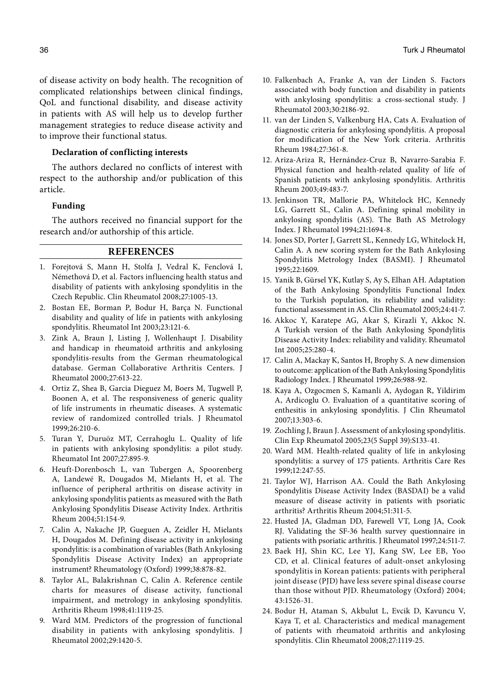of disease activity on body health. The recognition of complicated relationships between clinical findings, QoL and functional disability, and disease activity in patients with AS will help us to develop further management strategies to reduce disease activity and to improve their functional status.

# **Declaration of conflicting interests**

The authors declared no conflicts of interest with respect to the authorship and/or publication of this article.

## **Funding**

The authors received no financial support for the research and/or authorship of this article.

## **REFERENCES**

- 1. Forejtová S, Mann H, Stolfa J, Vedral K, Fenclová I, Némethová D, et al. Factors influencing health status and disability of patients with ankylosing spondylitis in the Czech Republic. Clin Rheumatol 2008;27:1005-13.
- 2. Bostan EE, Borman P, Bodur H, Barça N. Functional disability and quality of life in patients with ankylosing spondylitis. Rheumatol Int 2003;23:121-6.
- 3. Zink A, Braun J, Listing J, Wollenhaupt J. Disability and handicap in rheumatoid arthritis and ankylosing spondylitis-results from the German rheumatological database. German Collaborative Arthritis Centers. J Rheumatol 2000;27:613-22.
- 4. Ortiz Z, Shea B, Garcia Dieguez M, Boers M, Tugwell P, Boonen A, et al. The responsiveness of generic quality of life instruments in rheumatic diseases. A systematic review of randomized controlled trials. J Rheumatol 1999;26:210-6.
- 5. Turan Y, Duruöz MT, Cerrahoglu L. Quality of life in patients with ankylosing spondylitis: a pilot study. Rheumatol Int 2007;27:895-9.
- 6. Heuft-Dorenbosch L, van Tubergen A, Spoorenberg A, Landewé R, Dougados M, Mielants H, et al. The influence of peripheral arthritis on disease activity in ankylosing spondylitis patients as measured with the Bath Ankylosing Spondylitis Disease Activity Index. Arthritis Rheum 2004;51:154-9.
- 7. Calin A, Nakache JP, Gueguen A, Zeidler H, Mielants H, Dougados M. Defining disease activity in ankylosing spondylitis: is a combination of variables (Bath Ankylosing Spondylitis Disease Activity Index) an appropriate instrument? Rheumatology (Oxford) 1999;38:878-82.
- 8. Taylor AL, Balakrishnan C, Calin A. Reference centile charts for measures of disease activity, functional impairment, and metrology in ankylosing spondylitis. Arthritis Rheum 1998;41:1119-25.
- 9. Ward MM. Predictors of the progression of functional disability in patients with ankylosing spondylitis. J Rheumatol 2002;29:1420-5.
- 10. Falkenbach A, Franke A, van der Linden S. Factors associated with body function and disability in patients with ankylosing spondylitis: a cross-sectional study. J Rheumatol 2003;30:2186-92.
- 11. van der Linden S, Valkenburg HA, Cats A. Evaluation of diagnostic criteria for ankylosing spondylitis. A proposal for modification of the New York criteria. Arthritis Rheum 1984;27:361-8.
- 12. Ariza-Ariza R, Hernández-Cruz B, Navarro-Sarabia F. Physical function and health-related quality of life of Spanish patients with ankylosing spondylitis. Arthritis Rheum 2003;49:483-7.
- 13. Jenkinson TR, Mallorie PA, Whitelock HC, Kennedy LG, Garrett SL, Calin A. Defining spinal mobility in ankylosing spondylitis (AS). The Bath AS Metrology Index. J Rheumatol 1994;21:1694-8.
- 14. Jones SD, Porter J, Garrett SL, Kennedy LG, Whitelock H, Calin A. A new scoring system for the Bath Ankylosing Spondylitis Metrology Index (BASMI). J Rheumatol 1995;22:1609.
- 15. Yanik B, Gürsel YK, Kutlay S, Ay S, Elhan AH. Adaptation of the Bath Ankylosing Spondylitis Functional Index to the Turkish population, its reliability and validity: functional assessment in AS. Clin Rheumatol 2005;24:41-7.
- 16. Akkoc Y, Karatepe AG, Akar S, Kirazli Y, Akkoc N. A Turkish version of the Bath Ankylosing Spondylitis Disease Activity Index: reliability and validity. Rheumatol Int 2005;25:280-4.
- 17. Calin A, Mackay K, Santos H, Brophy S. A new dimension to outcome: application of the Bath Ankylosing Spondylitis Radiology Index. J Rheumatol 1999;26:988-92.
- 18. Kaya A, Ozgocmen S, Kamanli A, Aydogan R, Yildirim A, Ardicoglu O. Evaluation of a quantitative scoring of enthesitis in ankylosing spondylitis. J Clin Rheumatol 2007;13:303-6.
- 19. Zochling J, Braun J. Assessment of ankylosing spondylitis. Clin Exp Rheumatol 2005;23(5 Suppl 39):S133-41.
- 20. Ward MM. Health-related quality of life in ankylosing spondylitis: a survey of 175 patients. Arthritis Care Res 1999;12:247-55.
- 21. Taylor WJ, Harrison AA. Could the Bath Ankylosing Spondylitis Disease Activity Index (BASDAI) be a valid measure of disease activity in patients with psoriatic arthritis? Arthritis Rheum 2004;51:311-5.
- 22. Husted JA, Gladman DD, Farewell VT, Long JA, Cook RJ. Validating the SF-36 health survey questionnaire in patients with psoriatic arthritis. J Rheumatol 1997;24:511-7.
- 23. Baek HJ, Shin KC, Lee YJ, Kang SW, Lee EB, Yoo CD, et al. Clinical features of adult-onset ankylosing spondylitis in Korean patients: patients with peripheral joint disease (PJD) have less severe spinal disease course than those without PJD. Rheumatology (Oxford) 2004; 43:1526-31.
- 24. Bodur H, Ataman S, Akbulut L, Evcik D, Kavuncu V, Kaya T, et al. Characteristics and medical management of patients with rheumatoid arthritis and ankylosing spondylitis. Clin Rheumatol 2008;27:1119-25.